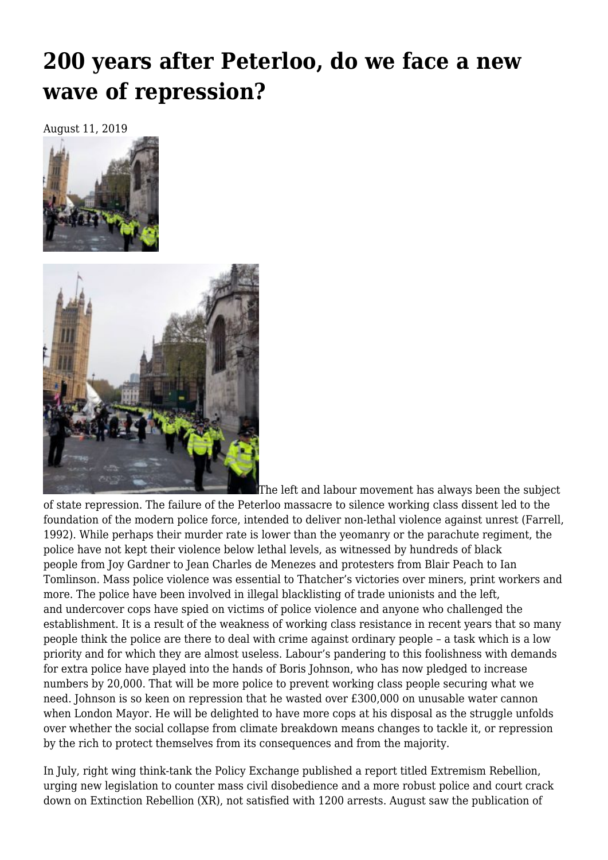## **[200 years after Peterloo, do we face a new](https://newpol.org/200-years-after-peterloo-do-we-face-a-new-wave-of-repression/) [wave of repression?](https://newpol.org/200-years-after-peterloo-do-we-face-a-new-wave-of-repression/)**

August 11, 2019





The left and labour movement has always been the subject of state repression. The failure of the Peterloo massacre to silence working class dissent led to the foundation of the modern police force, intended to deliver non-lethal violence against unrest (Farrell, 1992). While perhaps their murder rate is lower than the yeomanry or the parachute regiment, the police have not kept their violence below lethal levels, as witnessed by [hundreds of black](https://fullfact.org/law/bame-deaths-police-uk/) [people](https://fullfact.org/law/bame-deaths-police-uk/) from Joy Gardner to Jean Charles de Menezes and protesters from Blair Peach to Ian Tomlinson. Mass police violence was essential to Thatcher's victories over miners, print workers and more. The police have been involved in illegal [blacklisting](http://www.hazards.org/blacklistblog/) of trade unionists and the left, and [undercover cops](https://policespiesoutoflives.org.uk/) have spied on victims of police violence and anyone who challenged the establishment. It is a result of the weakness of working class resistance in recent years that so many people think the police are there to deal with crime against ordinary people – a task which is a low priority and for which they are almost useless. Labour's pandering to this foolishness with demands for extra police have played into the hands of Boris Johnson, who has now pledged to increase numbers by 20,000. That will be more police to prevent working class people securing what we need. Johnson is so keen on repression that he wasted over £300,000 on unusable water cannon when London Mayor. He will be delighted to have more cops at his disposal as the struggle unfolds over whether the [social collapse from climate breakdown](https://theecologist.org/2019/may/08/social-collapse-and-climate-breakdown) means changes to tackle it, or repression by the rich to protect themselves from its consequences and from the majority.

In July, right wing think-tank the Policy Exchange published a report titled [Extremism Rebellion,](https://policyexchange.org.uk/publication/extremism-rebellion/) urging new legislation to counter mass civil disobedience and a more robust police and court crack down on Extinction Rebellion (XR), not satisfied with 1200 arrests. August saw the publication of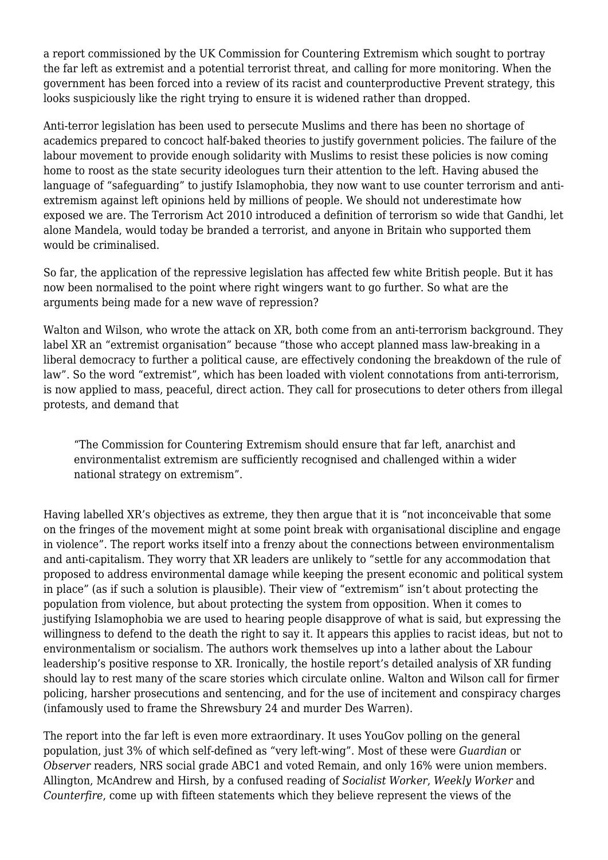a [report](https://assets.publishing.service.gov.uk/government/uploads/system/uploads/attachment_data/file/818862/Allington-McAndrew-Hirsh-2019-Jul-19.pdf) commissioned by the UK Commission for Countering Extremism which sought to portray the far left as extremist and a potential terrorist threat, and calling for more monitoring. When the government has been forced into a [review](https://homeofficemedia.blog.gov.uk/2019/01/22/government-announces-independent-review-of-prevent/) of its racist and counterproductive Prevent strategy, this looks suspiciously like the right trying to ensure it is widened rather than dropped.

Anti-terror legislation has been used to persecute Muslims and there has been no shortage of academics prepared to concoct half-baked theories to justify government policies. The failure of the labour movement to provide enough solidarity with Muslims to resist these policies is now coming home to roost as the state security ideologues turn their attention to the left. Having abused the language of "safeguarding" to justify Islamophobia, they now want to use counter terrorism and antiextremism against left opinions held by millions of people. We should not underestimate how exposed we are. The [Terrorism Act 2010](https://www.legislation.gov.uk/ukpga/2000/11/part/I) introduced a definition of terrorism so wide that Gandhi, let alone Mandela, would today be branded a terrorist, and anyone in Britain who supported them would be criminalised.

So far, the application of the repressive legislation has affected few white British people. But it has now been normalised to the point where right wingers want to go further. So what are the arguments being made for a new wave of repression?

Walton and Wilson, who wrote the attack on XR, both come from an anti-terrorism background. They label XR an "extremist organisation" because "those who accept planned mass law-breaking in a liberal democracy to further a political cause, are effectively condoning the breakdown of the rule of law". So the word "extremist", which has been loaded with violent connotations from anti-terrorism, is now applied to mass, peaceful, direct action. They call for prosecutions to deter others from illegal protests, and demand that

"The Commission for Countering Extremism should ensure that far left, anarchist and environmentalist extremism are sufficiently recognised and challenged within a wider national strategy on extremism".

Having labelled XR's objectives as extreme, they then argue that it is "not inconceivable that some on the fringes of the movement might at some point break with organisational discipline and engage in violence". The report works itself into a frenzy about the connections between environmentalism and anti-capitalism. They worry that XR leaders are unlikely to "settle for any accommodation that proposed to address environmental damage while keeping the present economic and political system in place" (as if such a solution is plausible). Their view of "extremism" isn't about protecting the population from violence, but about protecting the system from opposition. When it comes to justifying Islamophobia we are used to hearing people disapprove of what is said, but expressing the willingness to defend to the death the right to say it. It appears this applies to racist ideas, but not to environmentalism or socialism. The authors work themselves up into a lather about the Labour leadership's positive response to XR. Ironically, the hostile report's detailed analysis of XR funding should lay to rest many of the scare stories which circulate online. Walton and Wilson call for firmer policing, harsher prosecutions and sentencing, and for the use of incitement and conspiracy charges (infamously used to frame the [Shrewsbury 24](https://www.shrewsbury24campaign.org.uk/) and murder Des Warren).

The report into the far left is even more extraordinary. It uses YouGov polling on the general population, just 3% of which self-defined as "very left-wing". Most of these were *Guardian* or *Observer* readers, NRS social grade ABC1 and voted Remain, and only 16% were union members. Allington, McAndrew and Hirsh, by a confused reading of *Socialist Worker*, *Weekly Worker* and *Counterfire*, come up with fifteen statements which they believe represent the views of the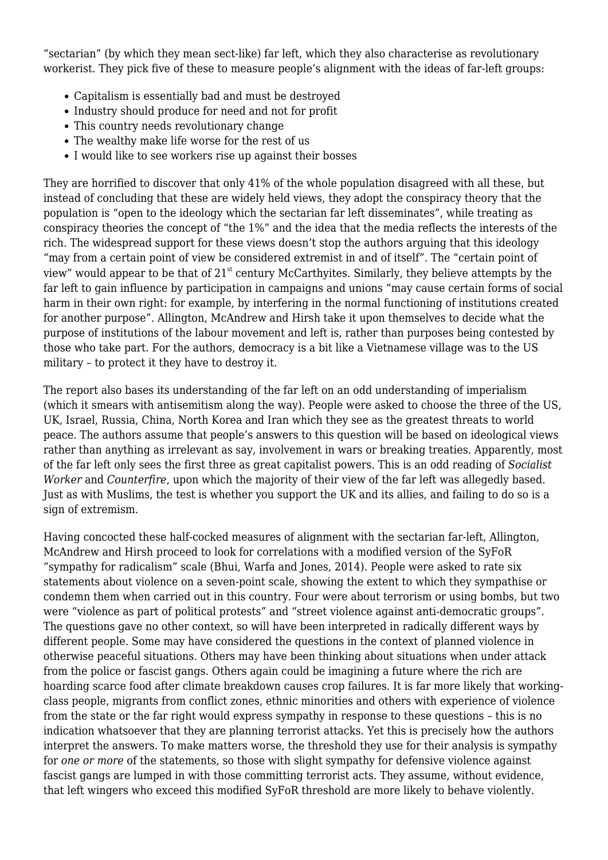"sectarian" (by which they mean sect-like) far left, which they also characterise as revolutionary workerist. They pick five of these to measure people's alignment with the ideas of far-left groups:

- Capitalism is essentially bad and must be destroyed
- Industry should produce for need and not for profit
- This country needs revolutionary change
- The wealthy make life worse for the rest of us
- I would like to see workers rise up against their bosses

They are horrified to discover that only 41% of the whole population disagreed with all these, but instead of concluding that these are widely held views, they adopt the conspiracy theory that the population is "open to the ideology which the sectarian far left disseminates", while treating as conspiracy theories the concept of "the 1%" and the idea that the media reflects the interests of the rich. The widespread support for these views doesn't stop the authors arguing that this ideology "may from a certain point of view be considered extremist in and of itself". The "certain point of view" would appear to be that of  $21<sup>st</sup>$  century McCarthyites. Similarly, they believe attempts by the far left to gain influence by participation in campaigns and unions "may cause certain forms of social harm in their own right: for example, by interfering in the normal functioning of institutions created for another purpose". Allington, McAndrew and Hirsh take it upon themselves to decide what the purpose of institutions of the labour movement and left is, rather than purposes being contested by those who take part. For the authors, democracy is a bit like a Vietnamese village was to the US military – to protect it they have to destroy it.

The report also bases its understanding of the far left on an odd understanding of imperialism (which it smears with antisemitism along the way). People were asked to choose the three of the US, UK, Israel, Russia, China, North Korea and Iran which they see as the greatest threats to world peace. The authors assume that people's answers to this question will be based on ideological views rather than anything as irrelevant as say, involvement in wars or breaking treaties. Apparently, most of the far left only sees the first three as great capitalist powers. This is an odd reading of *Socialist Worker* and *Counterfire*, upon which the majority of their view of the far left was allegedly based. Just as with Muslims, the test is whether you support the UK and its allies, and failing to do so is a sign of extremism.

Having concocted these half-cocked measures of alignment with the sectarian far-left, Allington, McAndrew and Hirsh proceed to look for correlations with a modified version of the SyFoR "sympathy for radicalism" scale (Bhui, Warfa and Jones, 2014). People were asked to rate six statements about violence on a seven-point scale, showing the extent to which they sympathise or condemn them when carried out in this country. Four were about terrorism or using bombs, but two were "violence as part of political protests" and "street violence against anti-democratic groups". The questions gave no other context, so will have been interpreted in radically different ways by different people. Some may have considered the questions in the context of planned violence in otherwise peaceful situations. Others may have been thinking about situations when under attack from the police or fascist gangs. Others again could be imagining a future where the rich are hoarding scarce food after climate breakdown causes crop failures. It is far more likely that workingclass people, migrants from conflict zones, ethnic minorities and others with experience of violence from the state or the far right would express sympathy in response to these questions – this is no indication whatsoever that they are planning terrorist attacks. Yet this is precisely how the authors interpret the answers. To make matters worse, the threshold they use for their analysis is sympathy for *one or more* of the statements, so those with slight sympathy for defensive violence against fascist gangs are lumped in with those committing terrorist acts. They assume, without evidence, that left wingers who exceed this modified SyFoR threshold are more likely to behave violently.